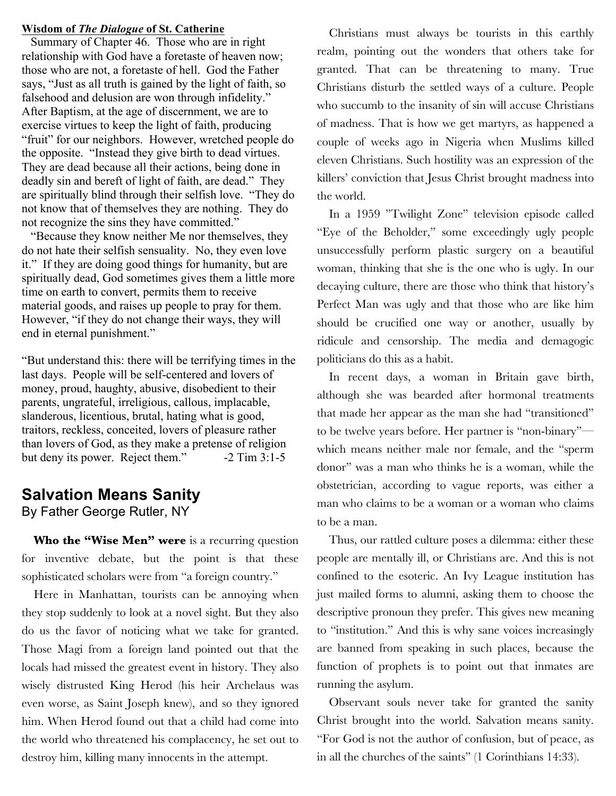#### **Wisdom of** *The Dialogue* **of St. Catherine**

 Summary of Chapter 46. Those who are in right relationship with God have a foretaste of heaven now; those who are not, a foretaste of hell. God the Father says, "Just as all truth is gained by the light of faith, so falsehood and delusion are won through infidelity." After Baptism, at the age of discernment, we are to exercise virtues to keep the light of faith, producing "fruit" for our neighbors. However, wretched people do the opposite. "Instead they give birth to dead virtues. They are dead because all their actions, being done in deadly sin and bereft of light of faith, are dead." They are spiritually blind through their selfish love. "They do not know that of themselves they are nothing. They do not recognize the sins they have committed."

 "Because they know neither Me nor themselves, they do not hate their selfish sensuality. No, they even love it." If they are doing good things for humanity, but are spiritually dead, God sometimes gives them a little more time on earth to convert, permits them to receive material goods, and raises up people to pray for them. However, "if they do not change their ways, they will end in eternal punishment."

"But understand this: there will be terrifying times in the last days. People will be self-centered and lovers of money, proud, haughty, abusive, disobedient to their parents, ungrateful, irreligious, callous, implacable, slanderous, licentious, brutal, hating what is good, traitors, reckless, conceited, lovers of pleasure rather than lovers of God, as they make a pretense of religion but deny its power. Reject them." -2 Tim 3:1-5

# **Salvation Means Sanity** By Father George Rutler, NY

Who the "Wise Men" were is a recurring question for inventive debate, but the point is that these sophisticated scholars were from "a foreign country."

 Here in Manhattan, tourists can be annoying when they stop suddenly to look at a novel sight. But they also do us the favor of noticing what we take for granted. Those Magi from a foreign land pointed out that the locals had missed the greatest event in history. They also wisely distrusted King Herod (his heir Archelaus was even worse, as Saint Joseph knew), and so they ignored him. When Herod found out that a child had come into the world who threatened his complacency, he set out to destroy him, killing many innocents in the attempt.

 Christians must always be tourists in this earthly realm, pointing out the wonders that others take for granted. That can be threatening to many. True Christians disturb the settled ways of a culture. People who succumb to the insanity of sin will accuse Christians of madness. That is how we get martyrs, as happened a couple of weeks ago in Nigeria when Muslims killed eleven Christians. Such hostility was an expression of the killers' conviction that Jesus Christ brought madness into the world.

 In a 1959 "Twilight Zone" television episode called "Eye of the Beholder," some exceedingly ugly people unsuccessfully perform plastic surgery on a beautiful woman, thinking that she is the one who is ugly. In our decaying culture, there are those who think that history's Perfect Man was ugly and that those who are like him should be crucified one way or another, usually by ridicule and censorship. The media and demagogic politicians do this as a habit.

 In recent days, a woman in Britain gave birth, although she was bearded after hormonal treatments that made her appear as the man she had "transitioned" to be twelve years before. Her partner is "non-binary" which means neither male nor female, and the "sperm donor" was a man who thinks he is a woman, while the obstetrician, according to vague reports, was either a man who claims to be a woman or a woman who claims to be a man.

 Thus, our rattled culture poses a dilemma: either these people are mentally ill, or Christians are. And this is not confined to the esoteric. An Ivy League institution has just mailed forms to alumni, asking them to choose the descriptive pronoun they prefer. This gives new meaning to "institution." And this is why sane voices increasingly are banned from speaking in such places, because the function of prophets is to point out that inmates are running the asylum.

 Observant souls never take for granted the sanity Christ brought into the world. Salvation means sanity. "For God is not the author of confusion, but of peace, as in all the churches of the saints" (1 Corinthians 14:33).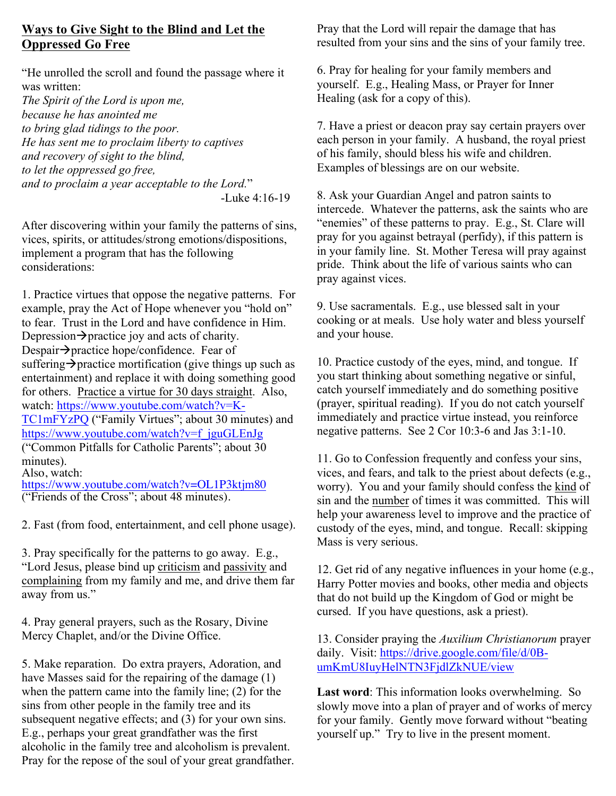# **Ways to Give Sight to the Blind and Let the Oppressed Go Free**

"He unrolled the scroll and found the passage where it was written:

*The Spirit of the Lord is upon me, because he has anointed me to bring glad tidings to the poor. He has sent me to proclaim liberty to captives and recovery of sight to the blind, to let the oppressed go free, and to proclaim a year acceptable to the Lord.*" -Luke 4:16-19

After discovering within your family the patterns of sins, vices, spirits, or attitudes/strong emotions/dispositions, implement a program that has the following considerations:

1. Practice virtues that oppose the negative patterns. For example, pray the Act of Hope whenever you "hold on" to fear. Trust in the Lord and have confidence in Him. Depression $\rightarrow$  practice joy and acts of charity. Despair $\rightarrow$ practice hope/confidence. Fear of suffering  $\rightarrow$  practice mortification (give things up such as entertainment) and replace it with doing something good for others. Practice a virtue for 30 days straight. Also, watch: https://www.youtube.com/watch?v=K-TC1mFYzPQ ("Family Virtues"; about 30 minutes) and https://www.youtube.com/watch?v=f\_jguGLEnJg ("Common Pitfalls for Catholic Parents"; about 30 minutes). Also, watch: https://www.youtube.com/watch?v=OL1P3ktjm80

("Friends of the Cross"; about 48 minutes).

2. Fast (from food, entertainment, and cell phone usage).

3. Pray specifically for the patterns to go away. E.g., "Lord Jesus, please bind up criticism and passivity and complaining from my family and me, and drive them far away from us."

4. Pray general prayers, such as the Rosary, Divine Mercy Chaplet, and/or the Divine Office.

5. Make reparation. Do extra prayers, Adoration, and have Masses said for the repairing of the damage (1) when the pattern came into the family line; (2) for the sins from other people in the family tree and its subsequent negative effects; and (3) for your own sins. E.g., perhaps your great grandfather was the first alcoholic in the family tree and alcoholism is prevalent. Pray for the repose of the soul of your great grandfather. Pray that the Lord will repair the damage that has resulted from your sins and the sins of your family tree.

6. Pray for healing for your family members and yourself. E.g., Healing Mass, or Prayer for Inner Healing (ask for a copy of this).

7. Have a priest or deacon pray say certain prayers over each person in your family. A husband, the royal priest of his family, should bless his wife and children. Examples of blessings are on our website.

8. Ask your Guardian Angel and patron saints to intercede. Whatever the patterns, ask the saints who are "enemies" of these patterns to pray. E.g., St. Clare will pray for you against betrayal (perfidy), if this pattern is in your family line. St. Mother Teresa will pray against pride. Think about the life of various saints who can pray against vices.

9. Use sacramentals. E.g., use blessed salt in your cooking or at meals. Use holy water and bless yourself and your house.

10. Practice custody of the eyes, mind, and tongue. If you start thinking about something negative or sinful, catch yourself immediately and do something positive (prayer, spiritual reading). If you do not catch yourself immediately and practice virtue instead, you reinforce negative patterns. See 2 Cor 10:3-6 and Jas 3:1-10.

11. Go to Confession frequently and confess your sins, vices, and fears, and talk to the priest about defects (e.g., worry). You and your family should confess the kind of sin and the number of times it was committed. This will help your awareness level to improve and the practice of custody of the eyes, mind, and tongue. Recall: skipping Mass is very serious.

12. Get rid of any negative influences in your home (e.g., Harry Potter movies and books, other media and objects that do not build up the Kingdom of God or might be cursed. If you have questions, ask a priest).

13. Consider praying the *Auxilium Christianorum* prayer daily. Visit: https://drive.google.com/file/d/0BumKmU8IuyHelNTN3FjdlZkNUE/view

**Last word**: This information looks overwhelming. So slowly move into a plan of prayer and of works of mercy for your family. Gently move forward without "beating yourself up." Try to live in the present moment.